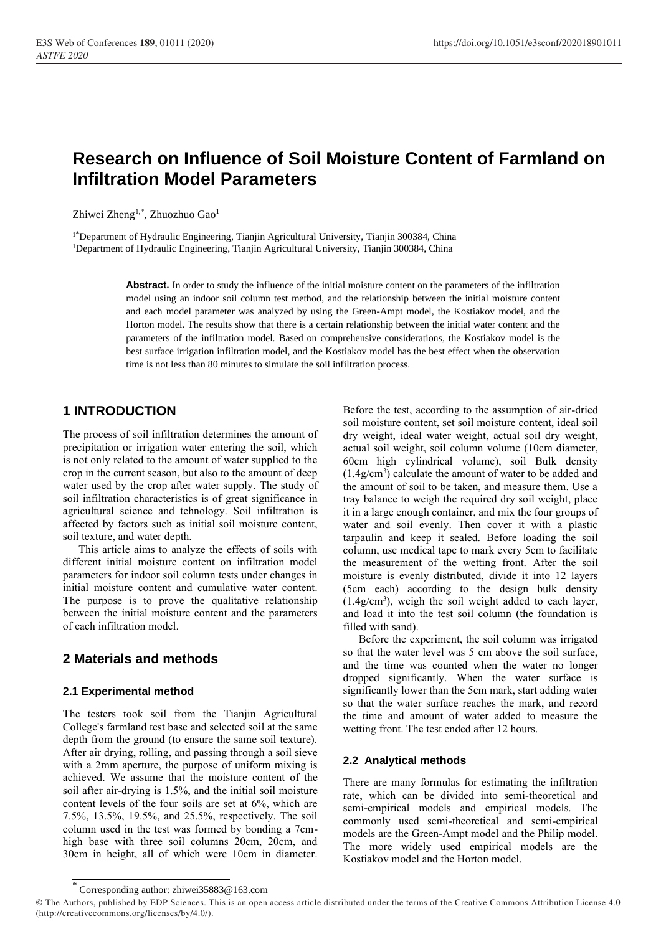# **Research on Influence of Soil Moisture Content of Farmland on Infiltration Model Parameters**

Zhiwei Zheng<sup>1,\*</sup>, Zhuozhuo Gao<sup>1</sup>

<sup>1\*</sup>Department of Hydraulic Engineering, Tianjin Agricultural University, Tianjin 300384, China <sup>1</sup>Department of Hydraulic Engineering, Tianjin Agricultural University, Tianjin 300384, China

> **Abstract.** In order to study the influence of the initial moisture content on the parameters of the infiltration model using an indoor soil column test method, and the relationship between the initial moisture content and each model parameter was analyzed by using the Green-Ampt model, the Kostiakov model, and the Horton model. The results show that there is a certain relationship between the initial water content and the parameters of the infiltration model. Based on comprehensive considerations, the Kostiakov model is the best surface irrigation infiltration model, and the Kostiakov model has the best effect when the observation time is not less than 80 minutes to simulate the soil infiltration process.

# **1 INTRODUCTION**

The process of soil infiltration determines the amount of precipitation or irrigation water entering the soil, which is not only related to the amount of water supplied to the crop in the current season, but also to the amount of deep water used by the crop after water supply. The study of soil infiltration characteristics is of great significance in agricultural science and tehnology. Soil infiltration is affected by factors such as initial soil moisture content, soil texture, and water depth.

This article aims to analyze the effects of soils with different initial moisture content on infiltration model parameters for indoor soil column tests under changes in initial moisture content and cumulative water content. The purpose is to prove the qualitative relationship between the initial moisture content and the parameters of each infiltration model.

## **2 Materials and methods**

### **2.1 Experimental method**

The testers took soil from the Tianjin Agricultural College's farmland test base and selected soil at the same depth from the ground (to ensure the same soil texture). After air drying, rolling, and passing through a soil sieve with a 2mm aperture, the purpose of uniform mixing is achieved. We assume that the moisture content of the soil after air-drying is 1.5%, and the initial soil moisture content levels of the four soils are set at 6%, which are 7.5%, 13.5%, 19.5%, and 25.5%, respectively. The soil column used in the test was formed by bonding a 7cmhigh base with three soil columns 20cm, 20cm, and 30cm in height, all of which were 10cm in diameter.

Before the test, according to the assumption of air-dried soil moisture content, set soil moisture content, ideal soil dry weight, ideal water weight, actual soil dry weight, actual soil weight, soil column volume (10cm diameter, 60cm high cylindrical volume), soil Bulk density (1.4g/cm<sup>3</sup> ) calculate the amount of water to be added and the amount of soil to be taken, and measure them. Use a tray balance to weigh the required dry soil weight, place it in a large enough container, and mix the four groups of water and soil evenly. Then cover it with a plastic tarpaulin and keep it sealed. Before loading the soil column, use medical tape to mark every 5cm to facilitate the measurement of the wetting front. After the soil moisture is evenly distributed, divide it into 12 layers (5cm each) according to the design bulk density (1.4g/cm<sup>3</sup> ), weigh the soil weight added to each layer, and load it into the test soil column (the foundation is filled with sand).

Before the experiment, the soil column was irrigated so that the water level was 5 cm above the soil surface, and the time was counted when the water no longer dropped significantly. When the water surface is significantly lower than the 5cm mark, start adding water so that the water surface reaches the mark, and record the time and amount of water added to measure the wetting front. The test ended after 12 hours.

### **2.2 Analytical methods**

There are many formulas for estimating the infiltration rate, which can be divided into semi-theoretical and semi-empirical models and empirical models. The commonly used semi-theoretical and semi-empirical models are the Green-Ampt model and the Philip model. The more widely used empirical models are the Kostiakov model and the Horton model.

<sup>\*</sup> Corresponding author: zhiwei35883@163.com

<sup>©</sup> The Authors, published by EDP Sciences. This is an open access article distributed under the terms of the Creative Commons Attribution License 4.0 (http://creativecommons.org/licenses/by/4.0/).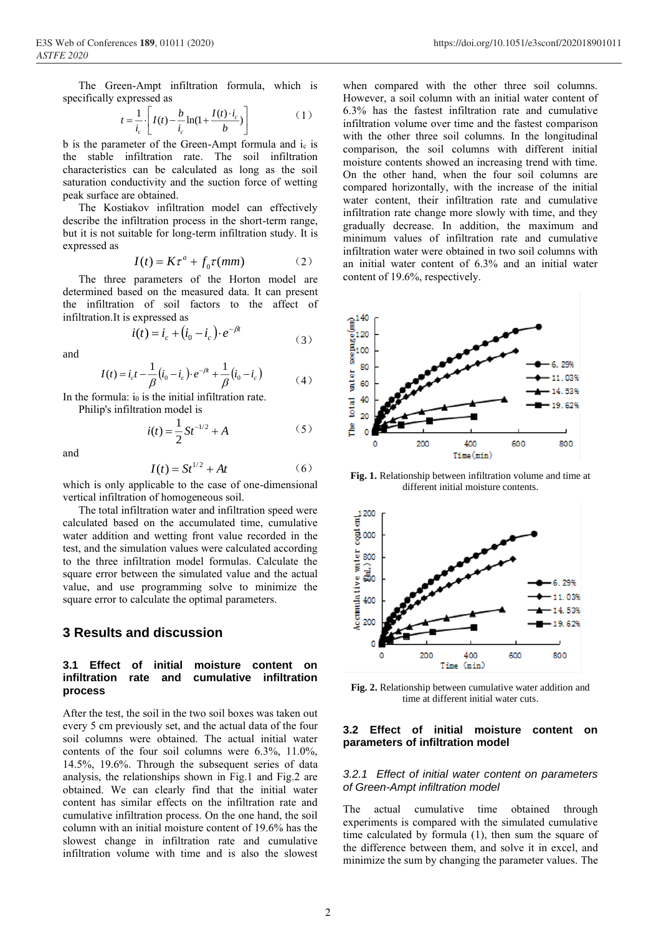The Green-Ampt infiltration formula, which is specifically expressed as

$$
t = \frac{1}{i_c} \left[ I(t) - \frac{b}{i_c} \ln(1 + \frac{I(t) \cdot i_c}{b}) \right]
$$
 (1)

b is the parameter of the Green-Ampt formula and  $i_c$  is the stable infiltration rate. The soil infiltration characteristics can be calculated as long as the soil saturation conductivity and the suction force of wetting peak surface are obtained.

The Kostiakov infiltration model can effectively describe the infiltration process in the short-term range, but it is not suitable for long-term infiltration study. It is expressed as

$$
I(t) = K\tau^a + f_0\tau(mm) \tag{2}
$$

The three parameters of the Horton model are determined based on the measured data. It can present the infiltration of soil factors to the affect of infiltration.It is expressed as

$$
i(t) = i_c + (i_0 - i_c) \cdot e^{-\beta t}
$$
 (3)

and

$$
I(t) = i_c t - \frac{1}{\beta} (i_0 - i_c) \cdot e^{-\beta t} + \frac{1}{\beta} (i_0 - i_c)
$$
 (4)

In the formula:  $i_0$  is the initial infiltration rate.

Philip's infiltration model is

$$
i(t) = \frac{1}{2}St^{-1/2} + A
$$
 (5)

and

$$
I(t) = St^{1/2} + At \tag{6}
$$

which is only applicable to the case of one-dimensional vertical infiltration of homogeneous soil.

The total infiltration water and infiltration speed were calculated based on the accumulated time, cumulative water addition and wetting front value recorded in the test, and the simulation values were calculated according to the three infiltration model formulas. Calculate the square error between the simulated value and the actual value, and use programming solve to minimize the square error to calculate the optimal parameters.

### **3 Results and discussion**

### **3.1 Effect of initial moisture content on infiltration rate and cumulative infiltration process**

After the test, the soil in the two soil boxes was taken out every 5 cm previously set, and the actual data of the four soil columns were obtained. The actual initial water contents of the four soil columns were 6.3%, 11.0%, 14.5%, 19.6%. Through the subsequent series of data analysis, the relationships shown in Fig.1 and Fig.2 are obtained. We can clearly find that the initial water content has similar effects on the infiltration rate and cumulative infiltration process. On the one hand, the soil column with an initial moisture content of 19.6% has the slowest change in infiltration rate and cumulative infiltration volume with time and is also the slowest

when compared with the other three soil columns. However, a soil column with an initial water content of 6.3% has the fastest infiltration rate and cumulative infiltration volume over time and the fastest comparison with the other three soil columns. In the longitudinal comparison, the soil columns with different initial moisture contents showed an increasing trend with time. On the other hand, when the four soil columns are compared horizontally, with the increase of the initial water content, their infiltration rate and cumulative infiltration rate change more slowly with time, and they gradually decrease. In addition, the maximum and minimum values of infiltration rate and cumulative infiltration water were obtained in two soil columns with an initial water content of 6.3% and an initial water content of 19.6%, respectively.



**Fig. 1.** Relationship between infiltration volume and time at different initial moisture contents.



**Fig. 2.** Relationship between cumulative water addition and time at different initial water cuts.

#### **3.2 Effect of initial moisture content on parameters of infiltration model**

#### *3.2.1 Effect of initial water content on parameters of Green-Ampt infiltration model*

actual cumulative time obtained through experiments is compared with the simulated cumulative time calculated by formula (1), then sum the square of the difference between them, and solve it in excel, and minimize the sum by changing the parameter values. The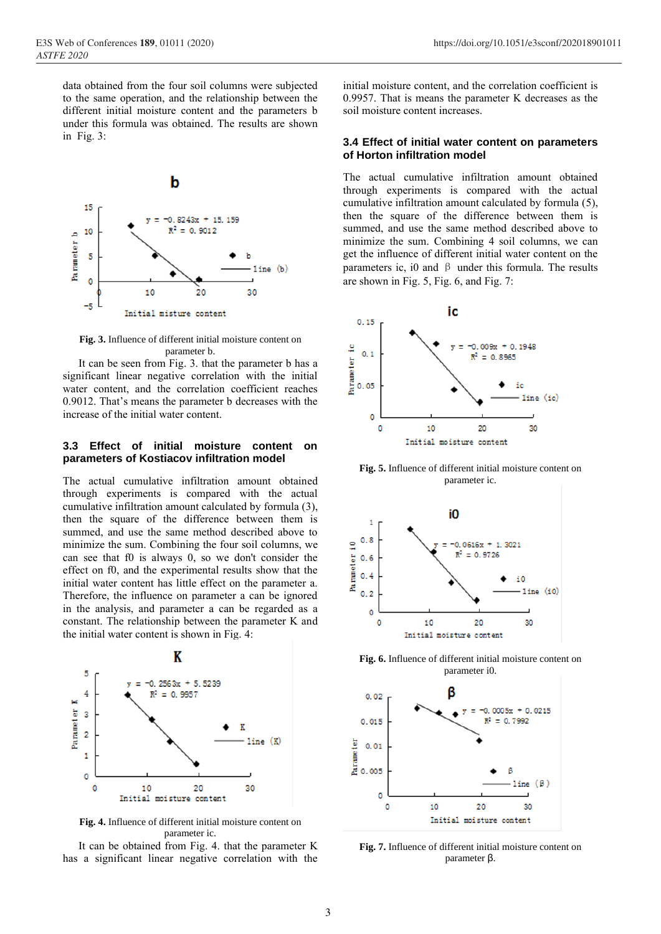

**Fig. 3.** Influence of different initial moisture content on parameter b.

It can be seen from Fig. 3. that the parameter b has a significant linear negative correlation with the initial water content, and the correlation coefficient reaches 0.9012. That's means the parameter b decreases with the increase of the initial water content.

#### **3.3 Effect of initial moisture content on parameters of Kostiacov infiltration model**

The actual cumulative infiltration amount obtained through experiments is compared with the actual cumulative infiltration amount calculated by formula (3), then the square of the difference between them is summed, and use the same method described above to minimize the sum. Combining the four soil columns, we can see that f0 is always 0, so we don't consider the effect on f0, and the experimental results show that the initial water content has little effect on the parameter a. Therefore, the influence on parameter a can be ignored in the analysis, and parameter a can be regarded as a constant. The relationship between the parameter K and the initial water content is shown in Fig. 4:



**Fig. 4.** Influence of different initial moisture content on parameter ic.

It can be obtained from Fig. 4. that the parameter K has a significant linear negative correlation with the

initial moisture content, and the correlation coefficient is 0.9957. That is means the parameter K decreases as the soil moisture content increases.

#### **3.4 Effect of initial water content on parameters of Horton infiltration model**

The actual cumulative infiltration amount obtained through experiments is compared with the actual cumulative infiltration amount calculated by formula (5), then the square of the difference between them is summed, and use the same method described above to minimize the sum. Combining 4 soil columns, we can get the influence of different initial water content on the parameters ic, i0 and  $\beta$  under this formula. The results are shown in Fig. 5, Fig. 6, and Fig. 7:



**Fig. 5.** Influence of different initial moisture content on parameter ic.



**Fig. 6.** Influence of different initial moisture content on parameter i0.



**Fig. 7.** Influence of different initial moisture content on parameter β.